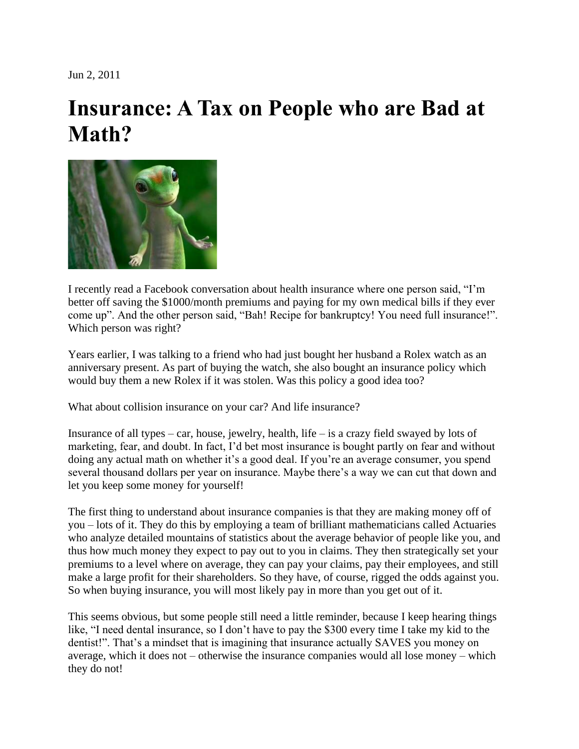Jun 2, 2011

## **Insurance: A Tax on People who are Bad at Math?**



I recently read a Facebook conversation about health insurance where one person said, "I'm better off saving the \$1000/month premiums and paying for my own medical bills if they ever come up". And the other person said, "Bah! Recipe for bankruptcy! You need full insurance!". Which person was right?

Years earlier, I was talking to a friend who had just bought her husband a Rolex watch as an anniversary present. As part of buying the watch, she also bought an insurance policy which would buy them a new Rolex if it was stolen. Was this policy a good idea too?

What about collision insurance on your car? And life insurance?

Insurance of all types – car, house, jewelry, health, life – is a crazy field swayed by lots of marketing, fear, and doubt. In fact, I'd bet most insurance is bought partly on fear and without doing any actual math on whether it's a good deal. If you're an average consumer, you spend several thousand dollars per year on insurance. Maybe there's a way we can cut that down and let you keep some money for yourself!

The first thing to understand about insurance companies is that they are making money off of you – lots of it. They do this by employing a team of brilliant mathematicians called Actuaries who analyze detailed mountains of statistics about the average behavior of people like you, and thus how much money they expect to pay out to you in claims. They then strategically set your premiums to a level where on average, they can pay your claims, pay their employees, and still make a large profit for their shareholders. So they have, of course, rigged the odds against you. So when buying insurance, you will most likely pay in more than you get out of it.

This seems obvious, but some people still need a little reminder, because I keep hearing things like, "I need dental insurance, so I don't have to pay the \$300 every time I take my kid to the dentist!". That's a mindset that is imagining that insurance actually SAVES you money on average, which it does not – otherwise the insurance companies would all lose money – which they do not!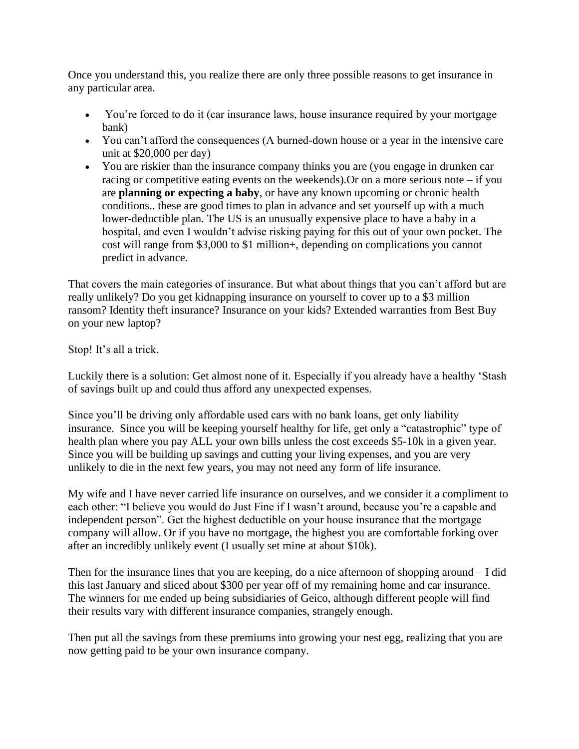Once you understand this, you realize there are only three possible reasons to get insurance in any particular area.

- You're forced to do it (car insurance laws, house insurance required by your mortgage bank)
- You can't afford the consequences (A burned-down house or a year in the intensive care unit at \$20,000 per day)
- You are riskier than the insurance company thinks you are (you engage in drunken car racing or competitive eating events on the weekends).Or on a more serious note – if you are **planning or expecting a baby**, or have any known upcoming or chronic health conditions.. these are good times to plan in advance and set yourself up with a much lower-deductible plan. The US is an unusually expensive place to have a baby in a hospital, and even I wouldn't advise risking paying for this out of your own pocket. The cost will range from \$3,000 to \$1 million+, depending on complications you cannot predict in advance.

That covers the main categories of insurance. But what about things that you can't afford but are really unlikely? Do you get kidnapping insurance on yourself to cover up to a \$3 million ransom? Identity theft insurance? Insurance on your kids? Extended warranties from Best Buy on your new laptop?

Stop! It's all a trick.

Luckily there is a solution: Get almost none of it. Especially if you already have a healthy 'Stash of savings built up and could thus afford any unexpected expenses.

Since you'll be driving only affordable used cars with no bank loans, get only liability insurance. Since you will be keeping yourself healthy for life, get only a "catastrophic" type of health plan where you pay ALL your own bills unless the cost exceeds \$5-10k in a given year. Since you will be building up savings and cutting your living expenses, and you are very unlikely to die in the next few years, you may not need any form of life insurance.

My wife and I have never carried life insurance on ourselves, and we consider it a compliment to each other: "I believe you would do Just Fine if I wasn't around, because you're a capable and independent person". Get the highest deductible on your house insurance that the mortgage company will allow. Or if you have no mortgage, the highest you are comfortable forking over after an incredibly unlikely event (I usually set mine at about \$10k).

Then for the insurance lines that you are keeping, do a nice afternoon of shopping around – I did this last January and sliced about \$300 per year off of my remaining home and car insurance. The winners for me ended up being subsidiaries of Geico, although different people will find their results vary with different insurance companies, strangely enough.

Then put all the savings from these premiums into growing your nest egg, realizing that you are now getting paid to be your own insurance company.